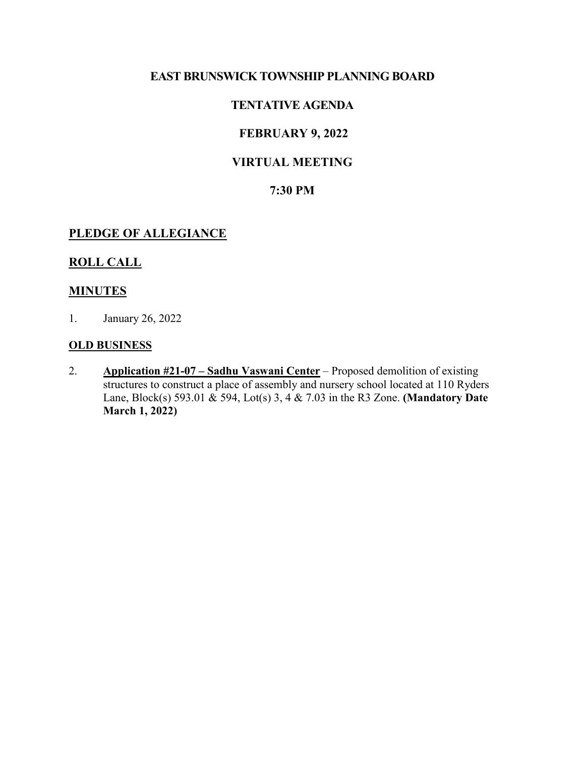## **EAST BRUNSWICK TOWNSHIP PLANNING BOARD**

# **TENTATIVE AGENDA**

# **FEBRUARY 9, 2022**

# **VIRTUAL MEETING**

## **7:30 PM**

#### **PLEDGE OF ALLEGIANCE**

#### **ROLL CALL**

#### **MINUTES**

1. January 26, 2022

#### **OLD BUSINESS**

2. **Application #21-07 – Sadhu Vaswani Center** – Proposed demolition of existing structures to construct a place of assembly and nursery school located at 110 Ryders Lane, Block(s) 593.01 & 594, Lot(s) 3, 4 & 7.03 in the R3 Zone. **(Mandatory Date March 1, 2022)**